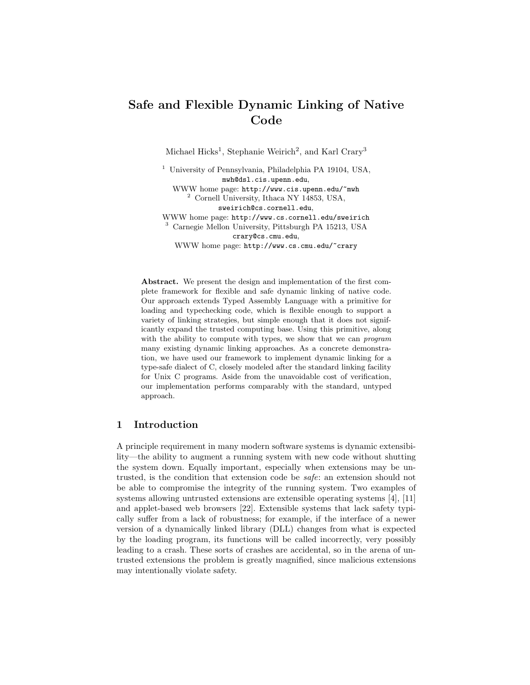# Safe and Flexible Dynamic Linking of Native Code

Michael Hicks<sup>1</sup>, Stephanie Weirich<sup>2</sup>, and Karl Crary<sup>3</sup>

<sup>1</sup> University of Pennsylvania, Philadelphia PA 19104, USA, mwh@dsl.cis.upenn.edu, WWW home page: http://www.cis.upenn.edu/~mwh <sup>2</sup> Cornell University, Ithaca NY 14853, USA, sweirich@cs.cornell.edu, WWW home page: http://www.cs.cornell.edu/sweirich <sup>3</sup> Carnegie Mellon University, Pittsburgh PA 15213, USA crary@cs.cmu.edu,

WWW home page: http://www.cs.cmu.edu/~crary

Abstract. We present the design and implementation of the first complete framework for flexible and safe dynamic linking of native code. Our approach extends Typed Assembly Language with a primitive for loading and typechecking code, which is flexible enough to support a variety of linking strategies, but simple enough that it does not significantly expand the trusted computing base. Using this primitive, along with the ability to compute with types, we show that we can *program* many existing dynamic linking approaches. As a concrete demonstration, we have used our framework to implement dynamic linking for a type-safe dialect of C, closely modeled after the standard linking facility for Unix C programs. Aside from the unavoidable cost of verification, our implementation performs comparably with the standard, untyped approach.

# 1 Introduction

A principle requirement in many modern software systems is dynamic extensibility—the ability to augment a running system with new code without shutting the system down. Equally important, especially when extensions may be untrusted, is the condition that extension code be safe: an extension should not be able to compromise the integrity of the running system. Two examples of systems allowing untrusted extensions are extensible operating systems [4], [11] and applet-based web browsers [22]. Extensible systems that lack safety typically suffer from a lack of robustness; for example, if the interface of a newer version of a dynamically linked library (DLL) changes from what is expected by the loading program, its functions will be called incorrectly, very possibly leading to a crash. These sorts of crashes are accidental, so in the arena of untrusted extensions the problem is greatly magnified, since malicious extensions may intentionally violate safety.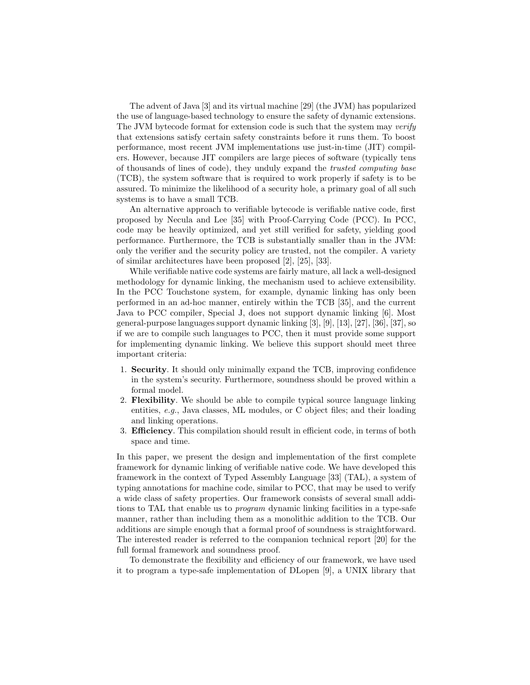The advent of Java [3] and its virtual machine [29] (the JVM) has popularized the use of language-based technology to ensure the safety of dynamic extensions. The JVM bytecode format for extension code is such that the system may verify that extensions satisfy certain safety constraints before it runs them. To boost performance, most recent JVM implementations use just-in-time (JIT) compilers. However, because JIT compilers are large pieces of software (typically tens of thousands of lines of code), they unduly expand the trusted computing base (TCB), the system software that is required to work properly if safety is to be assured. To minimize the likelihood of a security hole, a primary goal of all such systems is to have a small TCB.

An alternative approach to verifiable bytecode is verifiable native code, first proposed by Necula and Lee [35] with Proof-Carrying Code (PCC). In PCC, code may be heavily optimized, and yet still verified for safety, yielding good performance. Furthermore, the TCB is substantially smaller than in the JVM: only the verifier and the security policy are trusted, not the compiler. A variety of similar architectures have been proposed [2], [25], [33].

While verifiable native code systems are fairly mature, all lack a well-designed methodology for dynamic linking, the mechanism used to achieve extensibility. In the PCC Touchstone system, for example, dynamic linking has only been performed in an ad-hoc manner, entirely within the TCB [35], and the current Java to PCC compiler, Special J, does not support dynamic linking [6]. Most general-purpose languages support dynamic linking [3], [9], [13], [27], [36], [37], so if we are to compile such languages to PCC, then it must provide some support for implementing dynamic linking. We believe this support should meet three important criteria:

- 1. Security. It should only minimally expand the TCB, improving confidence in the system's security. Furthermore, soundness should be proved within a formal model.
- 2. Flexibility. We should be able to compile typical source language linking entities, e.g., Java classes, ML modules, or C object files; and their loading and linking operations.
- 3. Efficiency. This compilation should result in efficient code, in terms of both space and time.

In this paper, we present the design and implementation of the first complete framework for dynamic linking of verifiable native code. We have developed this framework in the context of Typed Assembly Language [33] (TAL), a system of typing annotations for machine code, similar to PCC, that may be used to verify a wide class of safety properties. Our framework consists of several small additions to TAL that enable us to program dynamic linking facilities in a type-safe manner, rather than including them as a monolithic addition to the TCB. Our additions are simple enough that a formal proof of soundness is straightforward. The interested reader is referred to the companion technical report [20] for the full formal framework and soundness proof.

To demonstrate the flexibility and efficiency of our framework, we have used it to program a type-safe implementation of DLopen [9], a UNIX library that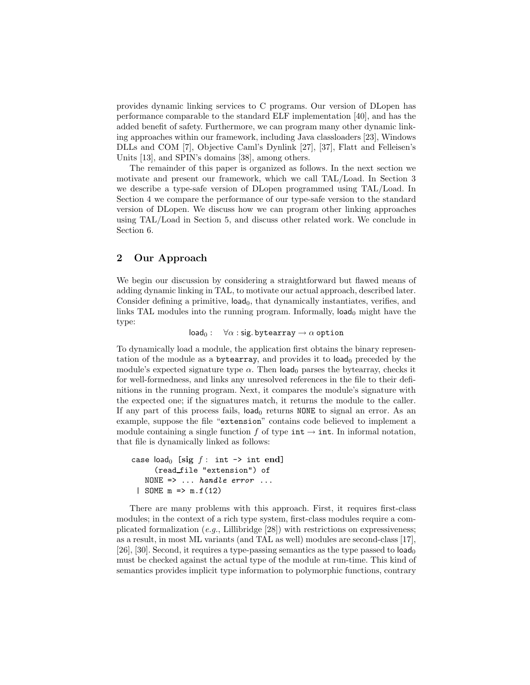provides dynamic linking services to C programs. Our version of DLopen has performance comparable to the standard ELF implementation [40], and has the added benefit of safety. Furthermore, we can program many other dynamic linking approaches within our framework, including Java classloaders [23], Windows DLLs and COM [7], Objective Caml's Dynlink [27], [37], Flatt and Felleisen's Units [13], and SPIN's domains [38], among others.

The remainder of this paper is organized as follows. In the next section we motivate and present our framework, which we call TAL/Load. In Section 3 we describe a type-safe version of DLopen programmed using TAL/Load. In Section 4 we compare the performance of our type-safe version to the standard version of DLopen. We discuss how we can program other linking approaches using TAL/Load in Section 5, and discuss other related work. We conclude in Section 6.

# 2 Our Approach

We begin our discussion by considering a straightforward but flawed means of adding dynamic linking in TAL, to motivate our actual approach, described later. Consider defining a primitive,  $\log_0$ , that dynamically instantiates, verifies, and links TAL modules into the running program. Informally,  $\text{load}_0$  might have the type:

 $\textsf{load}_0 : \forall \alpha : \textsf{sig.}$  bytearray  $\rightarrow \alpha$  option

To dynamically load a module, the application first obtains the binary representation of the module as a bytearray, and provides it to  $\text{load}_0$  preceded by the module's expected signature type  $\alpha$ . Then load<sub>0</sub> parses the bytearray, checks it for well-formedness, and links any unresolved references in the file to their definitions in the running program. Next, it compares the module's signature with the expected one; if the signatures match, it returns the module to the caller. If any part of this process fails,  $\log d_0$  returns NONE to signal an error. As an example, suppose the file "extension" contains code believed to implement a module containing a single function  $f$  of type  $int \rightarrow int$ . In informal notation, that file is dynamically linked as follows:

```
case load<sub>0</sub> [sig f: int -> int end]
      (read file "extension") of
   NONE \Rightarrow ... handle error ...
 | SOME m \implies m.f(12)
```
There are many problems with this approach. First, it requires first-class modules; in the context of a rich type system, first-class modules require a complicated formalization (e.g., Lillibridge [28]) with restrictions on expressiveness; as a result, in most ML variants (and TAL as well) modules are second-class [17], [26], [30]. Second, it requires a type-passing semantics as the type passed to  $\text{load}_0$ must be checked against the actual type of the module at run-time. This kind of semantics provides implicit type information to polymorphic functions, contrary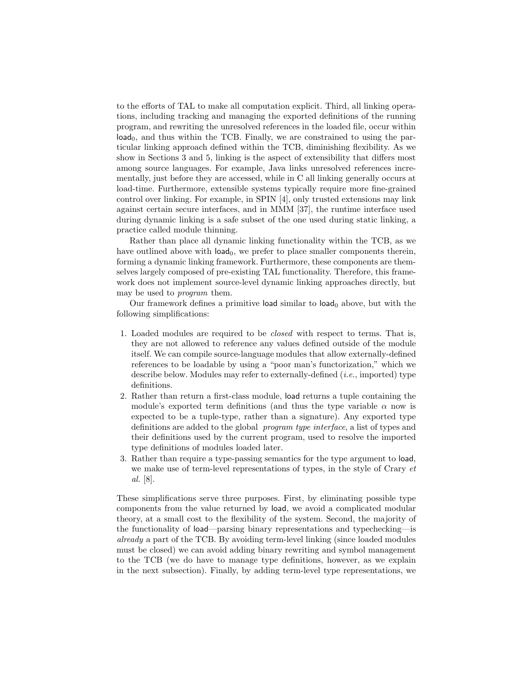to the efforts of TAL to make all computation explicit. Third, all linking operations, including tracking and managing the exported definitions of the running program, and rewriting the unresolved references in the loaded file, occur within  $\mathsf{load}_0$ , and thus within the TCB. Finally, we are constrained to using the particular linking approach defined within the TCB, diminishing flexibility. As we show in Sections 3 and 5, linking is the aspect of extensibility that differs most among source languages. For example, Java links unresolved references incrementally, just before they are accessed, while in C all linking generally occurs at load-time. Furthermore, extensible systems typically require more fine-grained control over linking. For example, in SPIN [4], only trusted extensions may link against certain secure interfaces, and in MMM [37], the runtime interface used during dynamic linking is a safe subset of the one used during static linking, a practice called module thinning.

Rather than place all dynamic linking functionality within the TCB, as we have outlined above with  $\mathsf{load}_0$ , we prefer to place smaller components therein, forming a dynamic linking framework. Furthermore, these components are themselves largely composed of pre-existing TAL functionality. Therefore, this framework does not implement source-level dynamic linking approaches directly, but may be used to program them.

Our framework defines a primitive load similar to  $\log d_0$  above, but with the following simplifications:

- 1. Loaded modules are required to be closed with respect to terms. That is, they are not allowed to reference any values defined outside of the module itself. We can compile source-language modules that allow externally-defined references to be loadable by using a "poor man's functorization," which we describe below. Modules may refer to externally-defined (i.e., imported) type definitions.
- 2. Rather than return a first-class module, load returns a tuple containing the module's exported term definitions (and thus the type variable  $\alpha$  now is expected to be a tuple-type, rather than a signature). Any exported type definitions are added to the global program type interface, a list of types and their definitions used by the current program, used to resolve the imported type definitions of modules loaded later.
- 3. Rather than require a type-passing semantics for the type argument to load, we make use of term-level representations of types, in the style of Crary et al. [8].

These simplifications serve three purposes. First, by eliminating possible type components from the value returned by load, we avoid a complicated modular theory, at a small cost to the flexibility of the system. Second, the majority of the functionality of load—parsing binary representations and typechecking—is already a part of the TCB. By avoiding term-level linking (since loaded modules must be closed) we can avoid adding binary rewriting and symbol management to the TCB (we do have to manage type definitions, however, as we explain in the next subsection). Finally, by adding term-level type representations, we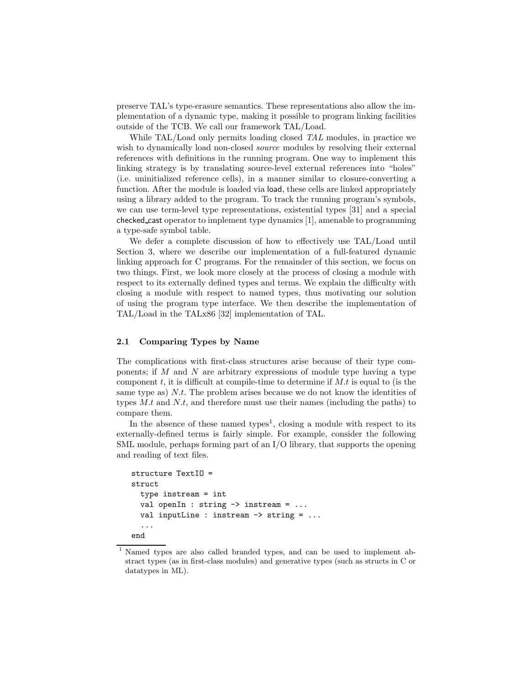preserve TAL's type-erasure semantics. These representations also allow the implementation of a dynamic type, making it possible to program linking facilities outside of the TCB. We call our framework TAL/Load.

While TAL/Load only permits loading closed TAL modules, in practice we wish to dynamically load non-closed *source* modules by resolving their external references with definitions in the running program. One way to implement this linking strategy is by translating source-level external references into "holes" (i.e. uninitialized reference cells), in a manner similar to closure-converting a function. After the module is loaded via load, these cells are linked appropriately using a library added to the program. To track the running program's symbols, we can use term-level type representations, existential types [31] and a special checked cast operator to implement type dynamics [1], amenable to programming a type-safe symbol table.

We defer a complete discussion of how to effectively use TAL/Load until Section 3, where we describe our implementation of a full-featured dynamic linking approach for C programs. For the remainder of this section, we focus on two things. First, we look more closely at the process of closing a module with respect to its externally defined types and terms. We explain the difficulty with closing a module with respect to named types, thus motivating our solution of using the program type interface. We then describe the implementation of TAL/Load in the TALx86 [32] implementation of TAL.

### 2.1 Comparing Types by Name

The complications with first-class structures arise because of their type components; if  $M$  and  $N$  are arbitrary expressions of module type having a type component  $t$ , it is difficult at compile-time to determine if  $M_t$  is equal to (is the same type as)  $N.t.$  The problem arises because we do not know the identities of types  $M_t$  and  $N_t$ , and therefore must use their names (including the paths) to compare them.

In the absence of these named types<sup>1</sup>, closing a module with respect to its externally-defined terms is fairly simple. For example, consider the following SML module, perhaps forming part of an I/O library, that supports the opening and reading of text files.

```
structure TextIO =
struct
  type instream = int
  val openIn : string \rightarrow instream = ...
  val inputLine : instream \rightarrow string = ...
  ...
end
```
<sup>1</sup> Named types are also called branded types, and can be used to implement abstract types (as in first-class modules) and generative types (such as structs in C or datatypes in ML).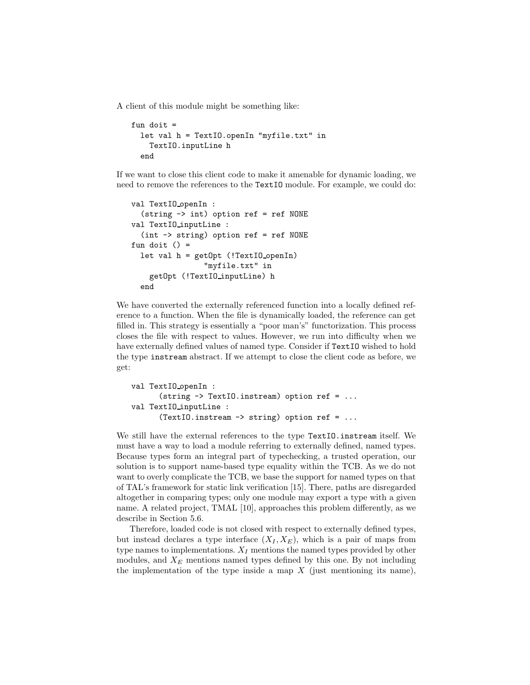A client of this module might be something like:

```
fun doit =
  let val h = TextIO.openIn "myfile.txt" in
    TextIO.inputLine h
  end
```
If we want to close this client code to make it amenable for dynamic loading, we need to remove the references to the TextIO module. For example, we could do:

```
val TextIO openIn :
  (string -> int) option ref = ref NONE
val TextIO inputLine :
  (int -> string) option ref = ref NONE
fun doit () =let val h = get0pt (!TextIO_openIn)
                "myfile.txt" in
    getOpt (!TextIO inputLine) h
  end
```
We have converted the externally referenced function into a locally defined reference to a function. When the file is dynamically loaded, the reference can get filled in. This strategy is essentially a "poor man's" functorization. This process closes the file with respect to values. However, we run into difficulty when we have externally defined values of named type. Consider if TextIO wished to hold the type instream abstract. If we attempt to close the client code as before, we get:

```
val TextIO openIn :
       (\text{string} \rightarrow \text{TextI0.instream}) option ref = ...
val TextIO inputLine :
       (TextIO.instream -> string) option ref = ...
```
We still have the external references to the type TextIO.instream itself. We must have a way to load a module referring to externally defined, named types. Because types form an integral part of typechecking, a trusted operation, our solution is to support name-based type equality within the TCB. As we do not want to overly complicate the TCB, we base the support for named types on that of TAL's framework for static link verification [15]. There, paths are disregarded altogether in comparing types; only one module may export a type with a given name. A related project, TMAL [10], approaches this problem differently, as we describe in Section 5.6.

Therefore, loaded code is not closed with respect to externally defined types, but instead declares a type interface  $(X_I, X_E)$ , which is a pair of maps from type names to implementations.  $X_I$  mentions the named types provided by other modules, and  $X_E$  mentions named types defined by this one. By not including the implementation of the type inside a map  $X$  (just mentioning its name),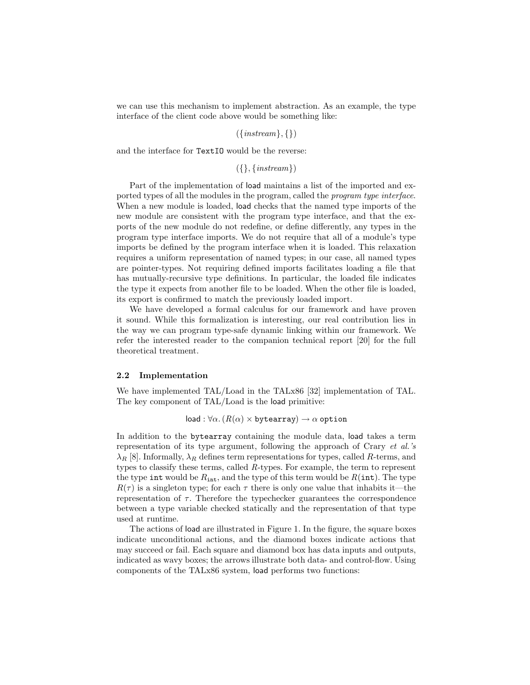we can use this mechanism to implement abstraction. As an example, the type interface of the client code above would be something like:

 $({*instanceam*}, {})$ 

and the interface for TextIO would be the reverse:

 $({}, \{instanceam\})$ 

Part of the implementation of load maintains a list of the imported and exported types of all the modules in the program, called the program type interface. When a new module is loaded, load checks that the named type imports of the new module are consistent with the program type interface, and that the exports of the new module do not redefine, or define differently, any types in the program type interface imports. We do not require that all of a module's type imports be defined by the program interface when it is loaded. This relaxation requires a uniform representation of named types; in our case, all named types are pointer-types. Not requiring defined imports facilitates loading a file that has mutually-recursive type definitions. In particular, the loaded file indicates the type it expects from another file to be loaded. When the other file is loaded, its export is confirmed to match the previously loaded import.

We have developed a formal calculus for our framework and have proven it sound. While this formalization is interesting, our real contribution lies in the way we can program type-safe dynamic linking within our framework. We refer the interested reader to the companion technical report [20] for the full theoretical treatment.

#### 2.2 Implementation

We have implemented TAL/Load in the TALx86 [32] implementation of TAL. The key component of TAL/Load is the load primitive:

load :  $\forall \alpha$ . ( $R(\alpha) \times$  bytearray)  $\rightarrow \alpha$  option

In addition to the bytearray containing the module data, load takes a term representation of its type argument, following the approach of Crary et al.'s  $\lambda_R$  [8]. Informally,  $\lambda_R$  defines term representations for types, called R-terms, and types to classify these terms, called  $R$ -types. For example, the term to represent the type int would be  $R_{\text{int}}$ , and the type of this term would be  $R(\text{int})$ . The type  $R(\tau)$  is a singleton type; for each  $\tau$  there is only one value that inhabits it—the representation of  $\tau$ . Therefore the typechecker guarantees the correspondence between a type variable checked statically and the representation of that type used at runtime.

The actions of load are illustrated in Figure 1. In the figure, the square boxes indicate unconditional actions, and the diamond boxes indicate actions that may succeed or fail. Each square and diamond box has data inputs and outputs, indicated as wavy boxes; the arrows illustrate both data- and control-flow. Using components of the TALx86 system, load performs two functions: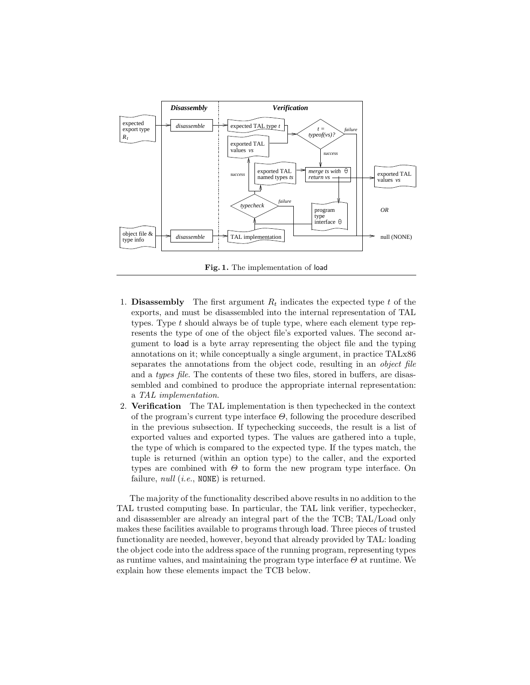

Fig. 1. The implementation of load

- 1. Disassembly The first argument  $R_t$  indicates the expected type t of the exports, and must be disassembled into the internal representation of TAL types. Type  $t$  should always be of tuple type, where each element type represents the type of one of the object file's exported values. The second argument to load is a byte array representing the object file and the typing annotations on it; while conceptually a single argument, in practice TALx86 separates the annotations from the object code, resulting in an object file and a types file. The contents of these two files, stored in buffers, are disassembled and combined to produce the appropriate internal representation: a TAL implementation.
- 2. Verification The TAL implementation is then typechecked in the context of the program's current type interface  $\Theta$ , following the procedure described in the previous subsection. If typechecking succeeds, the result is a list of exported values and exported types. The values are gathered into a tuple, the type of which is compared to the expected type. If the types match, the tuple is returned (within an option type) to the caller, and the exported types are combined with  $\Theta$  to form the new program type interface. On failure,  $null (i.e., \text{NONE})$  is returned.

The majority of the functionality described above results in no addition to the TAL trusted computing base. In particular, the TAL link verifier, typechecker, and disassembler are already an integral part of the the TCB; TAL/Load only makes these facilities available to programs through load. Three pieces of trusted functionality are needed, however, beyond that already provided by TAL: loading the object code into the address space of the running program, representing types as runtime values, and maintaining the program type interface  $\Theta$  at runtime. We explain how these elements impact the TCB below.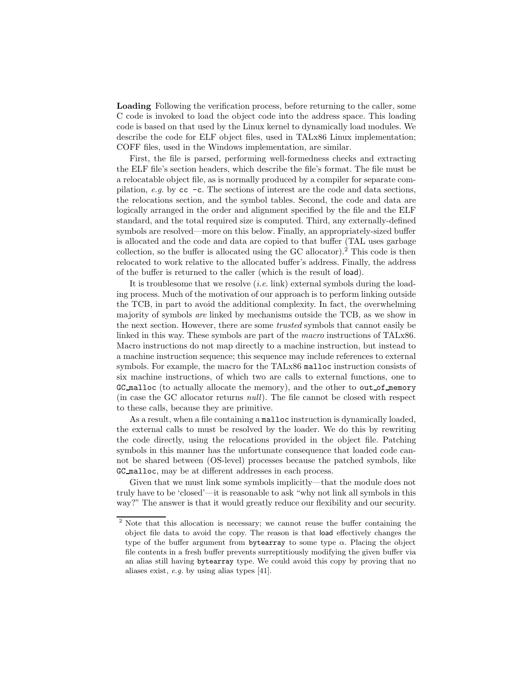Loading Following the verification process, before returning to the caller, some C code is invoked to load the object code into the address space. This loading code is based on that used by the Linux kernel to dynamically load modules. We describe the code for ELF object files, used in TALx86 Linux implementation; COFF files, used in the Windows implementation, are similar.

First, the file is parsed, performing well-formedness checks and extracting the ELF file's section headers, which describe the file's format. The file must be a relocatable object file, as is normally produced by a compiler for separate compilation, e.g. by  $cc$  -c. The sections of interest are the code and data sections, the relocations section, and the symbol tables. Second, the code and data are logically arranged in the order and alignment specified by the file and the ELF standard, and the total required size is computed. Third, any externally-defined symbols are resolved—more on this below. Finally, an appropriately-sized buffer is allocated and the code and data are copied to that buffer (TAL uses garbage collection, so the buffer is allocated using the GC allocator).<sup>2</sup> This code is then relocated to work relative to the allocated buffer's address. Finally, the address of the buffer is returned to the caller (which is the result of load).

It is troublesome that we resolve  $(i.e.$  link) external symbols during the loading process. Much of the motivation of our approach is to perform linking outside the TCB, in part to avoid the additional complexity. In fact, the overwhelming majority of symbols are linked by mechanisms outside the TCB, as we show in the next section. However, there are some trusted symbols that cannot easily be linked in this way. These symbols are part of the macro instructions of TALx86. Macro instructions do not map directly to a machine instruction, but instead to a machine instruction sequence; this sequence may include references to external symbols. For example, the macro for the TALx86 malloc instruction consists of six machine instructions, of which two are calls to external functions, one to GC malloc (to actually allocate the memory), and the other to out of memory (in case the GC allocator returns null). The file cannot be closed with respect to these calls, because they are primitive.

As a result, when a file containing a malloc instruction is dynamically loaded, the external calls to must be resolved by the loader. We do this by rewriting the code directly, using the relocations provided in the object file. Patching symbols in this manner has the unfortunate consequence that loaded code cannot be shared between (OS-level) processes because the patched symbols, like GC malloc, may be at different addresses in each process.

Given that we must link some symbols implicitly—that the module does not truly have to be 'closed'—it is reasonable to ask "why not link all symbols in this way?" The answer is that it would greatly reduce our flexibility and our security.

<sup>&</sup>lt;sup>2</sup> Note that this allocation is necessary; we cannot reuse the buffer containing the object file data to avoid the copy. The reason is that load effectively changes the type of the buffer argument from bytearray to some type  $\alpha$ . Placing the object file contents in a fresh buffer prevents surreptitiously modifying the given buffer via an alias still having bytearray type. We could avoid this copy by proving that no aliases exist, *e.g.* by using alias types [41].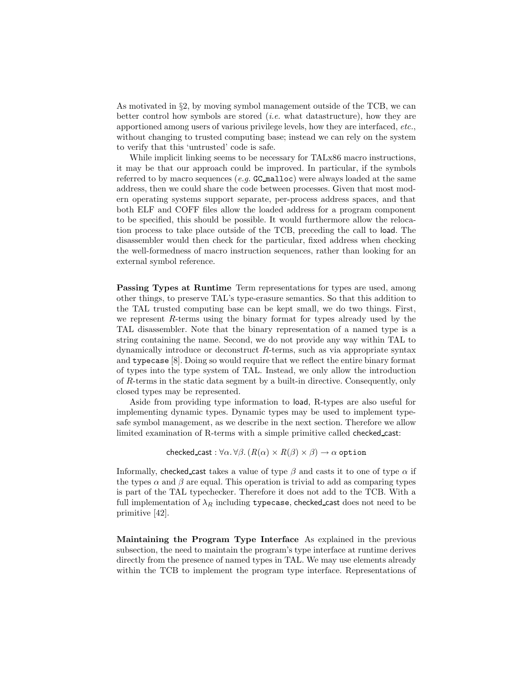As motivated in §2, by moving symbol management outside of the TCB, we can better control how symbols are stored *(i.e.* what datastructure), how they are apportioned among users of various privilege levels, how they are interfaced, etc., without changing to trusted computing base; instead we can rely on the system to verify that this 'untrusted' code is safe.

While implicit linking seems to be necessary for TALx86 macro instructions, it may be that our approach could be improved. In particular, if the symbols referred to by macro sequences (e.g.  $GC\_$ malloc) were always loaded at the same address, then we could share the code between processes. Given that most modern operating systems support separate, per-process address spaces, and that both ELF and COFF files allow the loaded address for a program component to be specified, this should be possible. It would furthermore allow the relocation process to take place outside of the TCB, preceding the call to load. The disassembler would then check for the particular, fixed address when checking the well-formedness of macro instruction sequences, rather than looking for an external symbol reference.

Passing Types at Runtime Term representations for types are used, among other things, to preserve TAL's type-erasure semantics. So that this addition to the TAL trusted computing base can be kept small, we do two things. First, we represent R-terms using the binary format for types already used by the TAL disassembler. Note that the binary representation of a named type is a string containing the name. Second, we do not provide any way within TAL to dynamically introduce or deconstruct R-terms, such as via appropriate syntax and typecase [8]. Doing so would require that we reflect the entire binary format of types into the type system of TAL. Instead, we only allow the introduction of R-terms in the static data segment by a built-in directive. Consequently, only closed types may be represented.

Aside from providing type information to load, R-types are also useful for implementing dynamic types. Dynamic types may be used to implement typesafe symbol management, as we describe in the next section. Therefore we allow limited examination of R-terms with a simple primitive called checked cast:

checked cast :  $\forall \alpha$ .  $\forall \beta$ .  $(R(\alpha) \times R(\beta) \times \beta) \rightarrow \alpha$  option

Informally, checked cast takes a value of type  $\beta$  and casts it to one of type  $\alpha$  if the types  $\alpha$  and  $\beta$  are equal. This operation is trivial to add as comparing types is part of the TAL typechecker. Therefore it does not add to the TCB. With a full implementation of  $\lambda_R$  including typecase, checked cast does not need to be primitive [42].

Maintaining the Program Type Interface As explained in the previous subsection, the need to maintain the program's type interface at runtime derives directly from the presence of named types in TAL. We may use elements already within the TCB to implement the program type interface. Representations of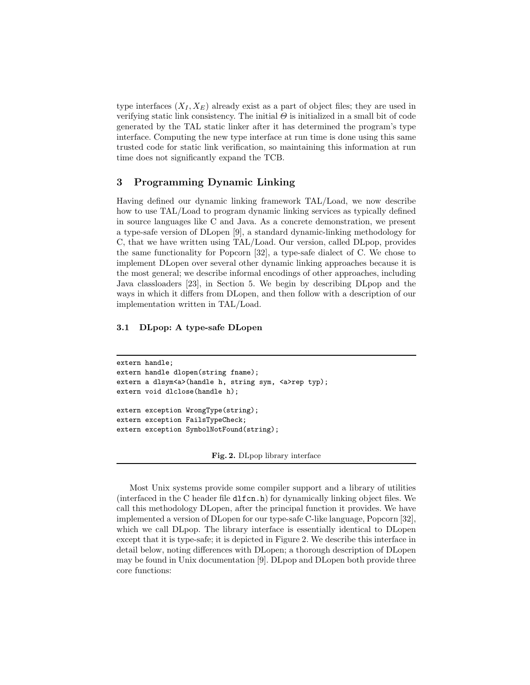type interfaces  $(X_I, X_E)$  already exist as a part of object files; they are used in verifying static link consistency. The initial  $\Theta$  is initialized in a small bit of code generated by the TAL static linker after it has determined the program's type interface. Computing the new type interface at run time is done using this same trusted code for static link verification, so maintaining this information at run time does not significantly expand the TCB.

# 3 Programming Dynamic Linking

Having defined our dynamic linking framework TAL/Load, we now describe how to use TAL/Load to program dynamic linking services as typically defined in source languages like C and Java. As a concrete demonstration, we present a type-safe version of DLopen [9], a standard dynamic-linking methodology for C, that we have written using TAL/Load. Our version, called DLpop, provides the same functionality for Popcorn [32], a type-safe dialect of C. We chose to implement DLopen over several other dynamic linking approaches because it is the most general; we describe informal encodings of other approaches, including Java classloaders [23], in Section 5. We begin by describing DLpop and the ways in which it differs from DLopen, and then follow with a description of our implementation written in TAL/Load.

# 3.1 DLpop: A type-safe DLopen

```
extern handle;
extern handle dlopen(string fname);
extern a dlsym<a>(handle h, string sym, <a>rep typ);
extern void dlclose(handle h);
extern exception WrongType(string);
extern exception FailsTypeCheck;
extern exception SymbolNotFound(string);
```
Fig. 2. DLpop library interface

Most Unix systems provide some compiler support and a library of utilities  $(interfaced in the C header file  $dlfcn.h$ ) for dynamically linking object files. We$ call this methodology DLopen, after the principal function it provides. We have implemented a version of DLopen for our type-safe C-like language, Popcorn [32], which we call DLpop. The library interface is essentially identical to DLopen except that it is type-safe; it is depicted in Figure 2. We describe this interface in detail below, noting differences with DLopen; a thorough description of DLopen may be found in Unix documentation [9]. DLpop and DLopen both provide three core functions: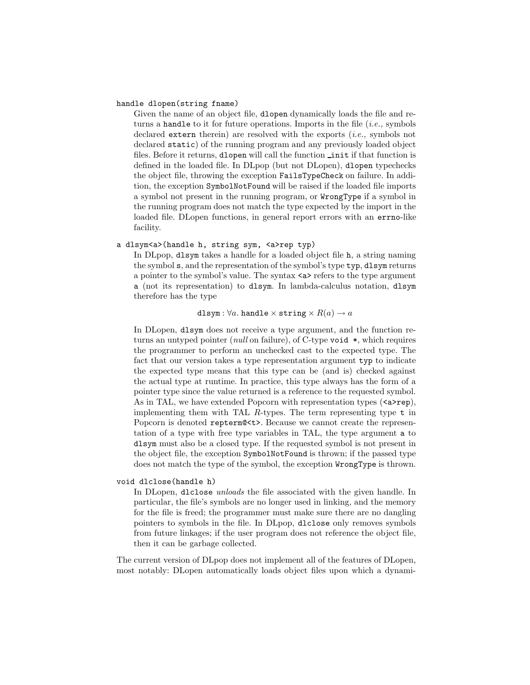#### handle dlopen(string fname)

Given the name of an object file, dlopen dynamically loads the file and returns a handle to it for future operations. Imports in the file  $(i.e.,$  symbols declared extern therein) are resolved with the exports *(i.e.*, symbols not declared static) of the running program and any previously loaded object files. Before it returns, dlopen will call the function init if that function is defined in the loaded file. In DLpop (but not DLopen), dlopen typechecks the object file, throwing the exception FailsTypeCheck on failure. In addition, the exception SymbolNotFound will be raised if the loaded file imports a symbol not present in the running program, or WrongType if a symbol in the running program does not match the type expected by the import in the loaded file. DLopen functions, in general report errors with an errno-like facility.

# a dlsym<a>(handle h, string sym, <a>rep typ)

In DLpop, dlsym takes a handle for a loaded object file h, a string naming the symbol s, and the representation of the symbol's type typ, dlsym returns a pointer to the symbol's value. The syntax <a> refers to the type argument a (not its representation) to dlsym. In lambda-calculus notation, dlsym therefore has the type

# dlsym :  $\forall a$ . handle  $\times$  string  $\times$   $R(a) \rightarrow a$

In DLopen, dlsym does not receive a type argument, and the function returns an untyped pointer (*null* on failure), of C-type void  $*$ , which requires the programmer to perform an unchecked cast to the expected type. The fact that our version takes a type representation argument typ to indicate the expected type means that this type can be (and is) checked against the actual type at runtime. In practice, this type always has the form of a pointer type since the value returned is a reference to the requested symbol. As in TAL, we have extended Popcorn with representation types  $(\langle a \rangle_{\text{rep}})$ , implementing them with TAL R-types. The term representing type  $t$  in Popcorn is denoted repterm@<t>. Because we cannot create the representation of a type with free type variables in TAL, the type argument a to dlsym must also be a closed type. If the requested symbol is not present in the object file, the exception SymbolNotFound is thrown; if the passed type does not match the type of the symbol, the exception WrongType is thrown.

#### void dlclose(handle h)

In DLopen, dlclose *unloads* the file associated with the given handle. In particular, the file's symbols are no longer used in linking, and the memory for the file is freed; the programmer must make sure there are no dangling pointers to symbols in the file. In DLpop, dlclose only removes symbols from future linkages; if the user program does not reference the object file, then it can be garbage collected.

The current version of DLpop does not implement all of the features of DLopen, most notably: DLopen automatically loads object files upon which a dynami-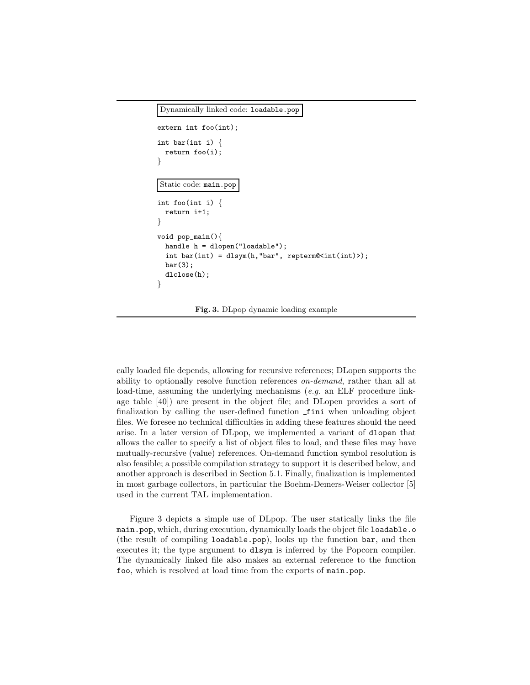```
Dynamically linked code: loadable.pop
```

```
extern int foo(int);
int bar(int i) \{return foo(i);
}
Static code: main.pop
int foo(int i) \{return i+1;
}
void pop_main(){
  handle h = dlopen("loadable");
  int bar(int) = dlsym(h, "bar", repterm@<math>\leq int(int)</math>);
  bar(3);
  dlclose(h);
}
```
Fig. 3. DLpop dynamic loading example

cally loaded file depends, allowing for recursive references; DLopen supports the ability to optionally resolve function references on-demand, rather than all at load-time, assuming the underlying mechanisms (e.g. an ELF procedure linkage table [40]) are present in the object file; and DLopen provides a sort of finalization by calling the user-defined function fini when unloading object files. We foresee no technical difficulties in adding these features should the need arise. In a later version of DLpop, we implemented a variant of dlopen that allows the caller to specify a list of object files to load, and these files may have mutually-recursive (value) references. On-demand function symbol resolution is also feasible; a possible compilation strategy to support it is described below, and another approach is described in Section 5.1. Finally, finalization is implemented in most garbage collectors, in particular the Boehm-Demers-Weiser collector [5] used in the current TAL implementation.

Figure 3 depicts a simple use of DLpop. The user statically links the file main.pop, which, during execution, dynamically loads the object file loadable.o (the result of compiling loadable.pop), looks up the function bar, and then executes it; the type argument to dlsym is inferred by the Popcorn compiler. The dynamically linked file also makes an external reference to the function foo, which is resolved at load time from the exports of main.pop.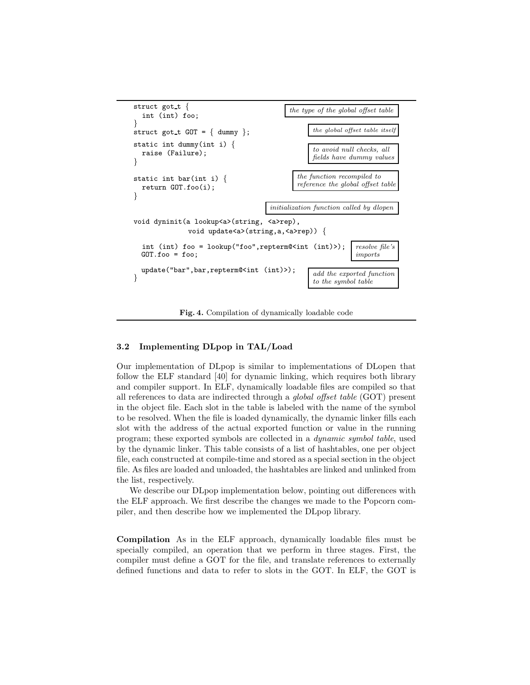

Fig. 4. Compilation of dynamically loadable code

### 3.2 Implementing DLpop in TAL/Load

Our implementation of DLpop is similar to implementations of DLopen that follow the ELF standard [40] for dynamic linking, which requires both library and compiler support. In ELF, dynamically loadable files are compiled so that all references to data are indirected through a global offset table (GOT) present in the object file. Each slot in the table is labeled with the name of the symbol to be resolved. When the file is loaded dynamically, the dynamic linker fills each slot with the address of the actual exported function or value in the running program; these exported symbols are collected in a dynamic symbol table, used by the dynamic linker. This table consists of a list of hashtables, one per object file, each constructed at compile-time and stored as a special section in the object file. As files are loaded and unloaded, the hashtables are linked and unlinked from the list, respectively.

We describe our DLpop implementation below, pointing out differences with the ELF approach. We first describe the changes we made to the Popcorn compiler, and then describe how we implemented the DLpop library.

Compilation As in the ELF approach, dynamically loadable files must be specially compiled, an operation that we perform in three stages. First, the compiler must define a GOT for the file, and translate references to externally defined functions and data to refer to slots in the GOT. In ELF, the GOT is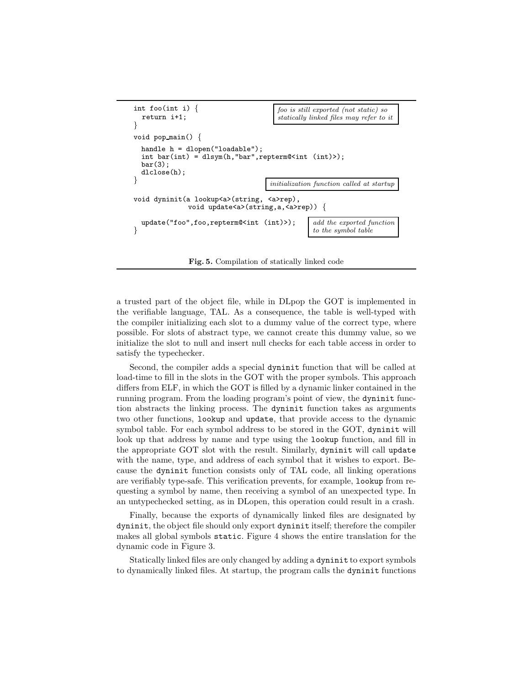```
foo is still exported (not static) so
                                         statically linked files may refer to it
                                      initialization function called at startup
                                                   add the exported function
                                                  to the symbol table
int foo(int i) \{return i+1;
}
  bar(3);
void pop main() {
  handle h = dlopen("loadable");
  int bar(int) = dlsym(h, "bar", repterm@<int (int));
  dlclose(h);
}
void dyninit(a lookup<a>(string, <a>rep),
               void update<a>(string,a,<a>rep)) {
  update("foo",foo,repterm@<int (int)>);
}
```
Fig. 5. Compilation of statically linked code

a trusted part of the object file, while in DLpop the GOT is implemented in the verifiable language, TAL. As a consequence, the table is well-typed with the compiler initializing each slot to a dummy value of the correct type, where possible. For slots of abstract type, we cannot create this dummy value, so we initialize the slot to null and insert null checks for each table access in order to satisfy the typechecker.

Second, the compiler adds a special dyninit function that will be called at load-time to fill in the slots in the GOT with the proper symbols. This approach differs from ELF, in which the GOT is filled by a dynamic linker contained in the running program. From the loading program's point of view, the dyninit function abstracts the linking process. The dyninit function takes as arguments two other functions, lookup and update, that provide access to the dynamic symbol table. For each symbol address to be stored in the GOT, dyninit will look up that address by name and type using the lookup function, and fill in the appropriate GOT slot with the result. Similarly, dyninit will call update with the name, type, and address of each symbol that it wishes to export. Because the dyninit function consists only of TAL code, all linking operations are verifiably type-safe. This verification prevents, for example, lookup from requesting a symbol by name, then receiving a symbol of an unexpected type. In an untypechecked setting, as in DLopen, this operation could result in a crash.

Finally, because the exports of dynamically linked files are designated by dyninit, the object file should only export dyninit itself; therefore the compiler makes all global symbols static. Figure 4 shows the entire translation for the dynamic code in Figure 3.

Statically linked files are only changed by adding a dyninit to export symbols to dynamically linked files. At startup, the program calls the dyninit functions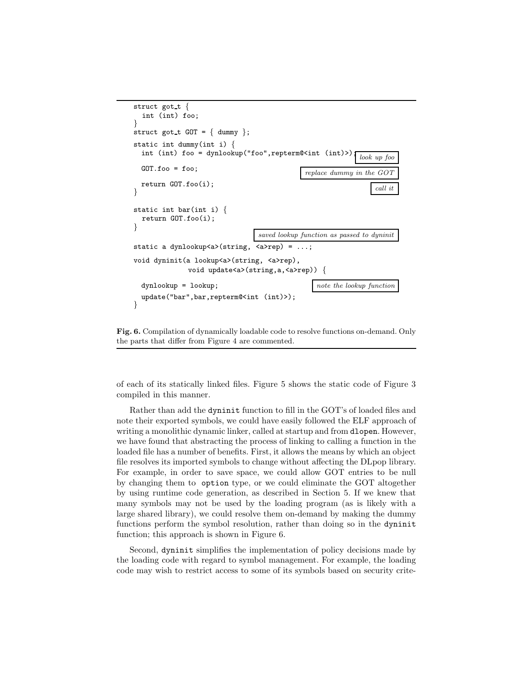```
look up foo
                                              replace dummy in the GOT
                                                                call it
                                 saved lookup function as passed to dyninit
                                                note the lookup function
}
struct got t {
struct got t GOT = { dummy };
static int dummy(int i) {
  int (int) foo;
static int bar(int i) {
}
  return GOT.foo(i);
static a dynlookup<a>(string, <a>rep) = ...;
void dyninit(a lookup<a>(string, <a>rep),
              void update<a>(string,a,<a>rep)) {
  dynlookup = lookup;
  GOT.foo = foo;
  return GOT.foo(i);
}
  int (int) foo = dynlookup("foo", repterm@<int (int)>)
  update("bar",bar,repterm@<int (int)>);
}
```
Fig. 6. Compilation of dynamically loadable code to resolve functions on-demand. Only the parts that differ from Figure 4 are commented.

of each of its statically linked files. Figure 5 shows the static code of Figure 3 compiled in this manner.

Rather than add the dyninit function to fill in the GOT's of loaded files and note their exported symbols, we could have easily followed the ELF approach of writing a monolithic dynamic linker, called at startup and from **dlopen**. However, we have found that abstracting the process of linking to calling a function in the loaded file has a number of benefits. First, it allows the means by which an object file resolves its imported symbols to change without affecting the DLpop library. For example, in order to save space, we could allow GOT entries to be null by changing them to option type, or we could eliminate the GOT altogether by using runtime code generation, as described in Section 5. If we knew that many symbols may not be used by the loading program (as is likely with a large shared library), we could resolve them on-demand by making the dummy functions perform the symbol resolution, rather than doing so in the dyninit function; this approach is shown in Figure 6.

Second, dyninit simplifies the implementation of policy decisions made by the loading code with regard to symbol management. For example, the loading code may wish to restrict access to some of its symbols based on security crite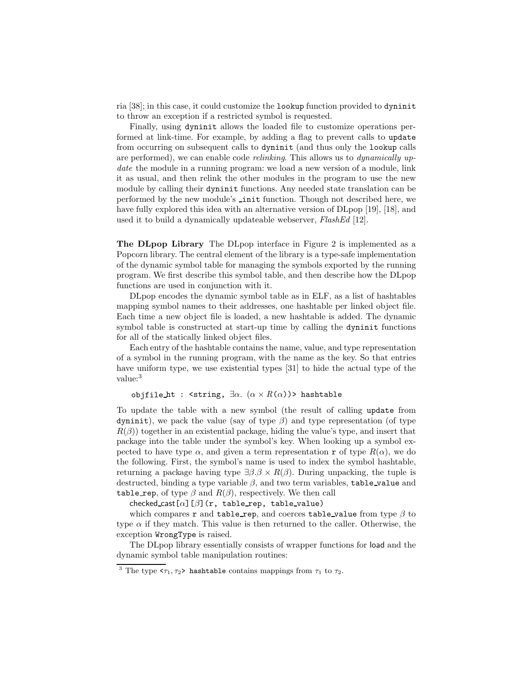ria [38]; in this case, it could customize the lookup function provided to dyninit to throw an exception if a restricted symbol is requested.

Finally, using dyninit allows the loaded file to customize operations performed at link-time. For example, by adding a flag to prevent calls to update from occurring on subsequent calls to dyninit (and thus only the lookup calls are performed), we can enable code relinking. This allows us to dynamically update the module in a running program: we load a new version of a module, link it as usual, and then relink the other modules in the program to use the new module by calling their dyninit functions. Any needed state translation can be performed by the new module's init function. Though not described here, we have fully explored this idea with an alternative version of DLpop [19], [18], and used it to build a dynamically updateable webserver, FlashEd [12].

The DLpop Library The DLpop interface in Figure 2 is implemented as a Popcorn library. The central element of the library is a type-safe implementation of the dynamic symbol table for managing the symbols exported by the running program. We first describe this symbol table, and then describe how the DLpop functions are used in conjunction with it.

DLpop encodes the dynamic symbol table as in ELF, as a list of hashtables mapping symbol names to their addresses, one hashtable per linked object file. Each time a new object file is loaded, a new hashtable is added. The dynamic symbol table is constructed at start-up time by calling the dyninit functions for all of the statically linked object files.

Each entry of the hashtable contains the name, value, and type representation of a symbol in the running program, with the name as the key. So that entries have uniform type, we use existential types [31] to hide the actual type of the value:<sup>3</sup>

objfile ht : <string,  $\exists \alpha$ .  $(\alpha \times R(\alpha))$  hashtable

To update the table with a new symbol (the result of calling update from dyninit), we pack the value (say of type  $\beta$ ) and type representation (of type  $R(\beta)$ ) together in an existential package, hiding the value's type, and insert that package into the table under the symbol's key. When looking up a symbol expected to have type  $\alpha$ , and given a term representation r of type  $R(\alpha)$ , we do the following. First, the symbol's name is used to index the symbol hashtable, returning a package having type  $\exists \beta \beta \times R(\beta)$ . During unpacking, the tuple is destructed, binding a type variable  $\beta$ , and two term variables, table\_value and table rep, of type  $\beta$  and  $R(\beta)$ , respectively. We then call

checked cast[ $\alpha$ ][ $\beta$ ](r, table rep, table value)

which compares r and table rep, and coerces table value from type  $\beta$  to type  $\alpha$  if they match. This value is then returned to the caller. Otherwise, the exception WrongType is raised.

The DLpop library essentially consists of wrapper functions for load and the dynamic symbol table manipulation routines:

<sup>&</sup>lt;sup>3</sup> The type  $\langle \tau_1, \tau_2 \rangle$  hashtable contains mappings from  $\tau_1$  to  $\tau_2$ .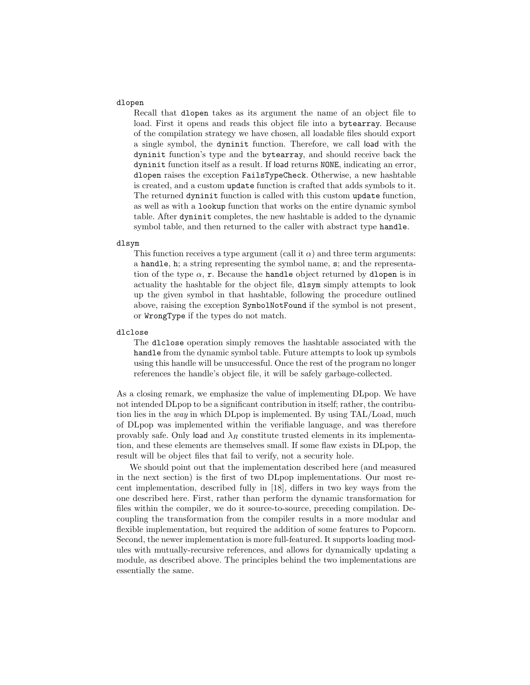#### dlopen

Recall that dlopen takes as its argument the name of an object file to load. First it opens and reads this object file into a bytearray. Because of the compilation strategy we have chosen, all loadable files should export a single symbol, the dyninit function. Therefore, we call load with the dyninit function's type and the bytearray, and should receive back the dyninit function itself as a result. If load returns NONE, indicating an error, dlopen raises the exception FailsTypeCheck. Otherwise, a new hashtable is created, and a custom update function is crafted that adds symbols to it. The returned dyninit function is called with this custom update function, as well as with a lookup function that works on the entire dynamic symbol table. After dyninit completes, the new hashtable is added to the dynamic symbol table, and then returned to the caller with abstract type handle.

#### dlsym

This function receives a type argument (call it  $\alpha$ ) and three term arguments: a handle, h; a string representing the symbol name, s; and the representation of the type  $\alpha$ , r. Because the handle object returned by dlopen is in actuality the hashtable for the object file, dlsym simply attempts to look up the given symbol in that hashtable, following the procedure outlined above, raising the exception SymbolNotFound if the symbol is not present, or WrongType if the types do not match.

#### dlclose

The dlclose operation simply removes the hashtable associated with the handle from the dynamic symbol table. Future attempts to look up symbols using this handle will be unsuccessful. Once the rest of the program no longer references the handle's object file, it will be safely garbage-collected.

As a closing remark, we emphasize the value of implementing DLpop. We have not intended DLpop to be a significant contribution in itself; rather, the contribution lies in the way in which DLpop is implemented. By using TAL/Load, much of DLpop was implemented within the verifiable language, and was therefore provably safe. Only load and  $\lambda_R$  constitute trusted elements in its implementation, and these elements are themselves small. If some flaw exists in DLpop, the result will be object files that fail to verify, not a security hole.

We should point out that the implementation described here (and measured in the next section) is the first of two DLpop implementations. Our most recent implementation, described fully in [18], differs in two key ways from the one described here. First, rather than perform the dynamic transformation for files within the compiler, we do it source-to-source, preceding compilation. Decoupling the transformation from the compiler results in a more modular and flexible implementation, but required the addition of some features to Popcorn. Second, the newer implementation is more full-featured. It supports loading modules with mutually-recursive references, and allows for dynamically updating a module, as described above. The principles behind the two implementations are essentially the same.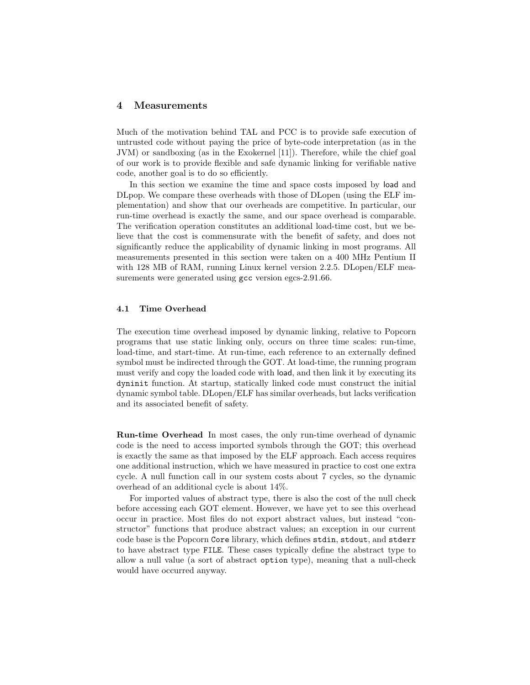# 4 Measurements

Much of the motivation behind TAL and PCC is to provide safe execution of untrusted code without paying the price of byte-code interpretation (as in the JVM) or sandboxing (as in the Exokernel [11]). Therefore, while the chief goal of our work is to provide flexible and safe dynamic linking for verifiable native code, another goal is to do so efficiently.

In this section we examine the time and space costs imposed by load and DLpop. We compare these overheads with those of DLopen (using the ELF implementation) and show that our overheads are competitive. In particular, our run-time overhead is exactly the same, and our space overhead is comparable. The verification operation constitutes an additional load-time cost, but we believe that the cost is commensurate with the benefit of safety, and does not significantly reduce the applicability of dynamic linking in most programs. All measurements presented in this section were taken on a 400 MHz Pentium II with 128 MB of RAM, running Linux kernel version 2.2.5. DLopen/ELF measurements were generated using gcc version egcs-2.91.66.

### 4.1 Time Overhead

The execution time overhead imposed by dynamic linking, relative to Popcorn programs that use static linking only, occurs on three time scales: run-time, load-time, and start-time. At run-time, each reference to an externally defined symbol must be indirected through the GOT. At load-time, the running program must verify and copy the loaded code with load, and then link it by executing its dyninit function. At startup, statically linked code must construct the initial dynamic symbol table. DLopen/ELF has similar overheads, but lacks verification and its associated benefit of safety.

Run-time Overhead In most cases, the only run-time overhead of dynamic code is the need to access imported symbols through the GOT; this overhead is exactly the same as that imposed by the ELF approach. Each access requires one additional instruction, which we have measured in practice to cost one extra cycle. A null function call in our system costs about 7 cycles, so the dynamic overhead of an additional cycle is about 14%.

For imported values of abstract type, there is also the cost of the null check before accessing each GOT element. However, we have yet to see this overhead occur in practice. Most files do not export abstract values, but instead "constructor" functions that produce abstract values; an exception in our current code base is the Popcorn Core library, which defines stdin, stdout, and stderr to have abstract type FILE. These cases typically define the abstract type to allow a null value (a sort of abstract option type), meaning that a null-check would have occurred anyway.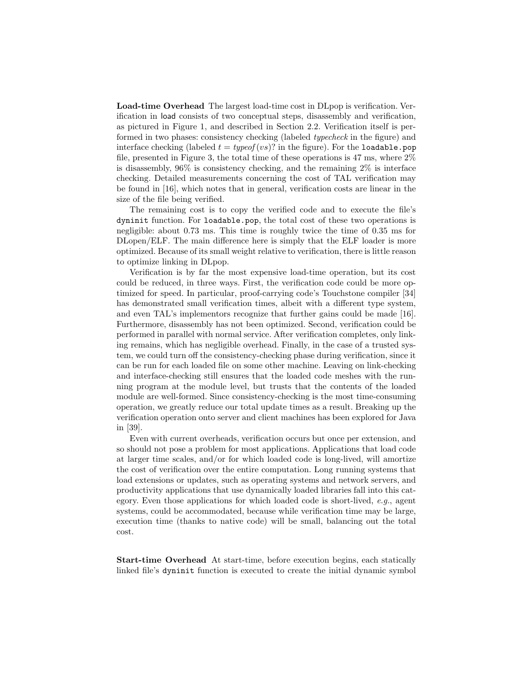Load-time Overhead The largest load-time cost in DLpop is verification. Verification in load consists of two conceptual steps, disassembly and verification, as pictured in Figure 1, and described in Section 2.2. Verification itself is performed in two phases: consistency checking (labeled typecheck in the figure) and interface checking (labeled  $t = typeof(vs)?$  in the figure). For the loadable.pop file, presented in Figure 3, the total time of these operations is 47 ms, where 2% is disassembly,  $96\%$  is consistency checking, and the remaining  $2\%$  is interface checking. Detailed measurements concerning the cost of TAL verification may be found in [16], which notes that in general, verification costs are linear in the size of the file being verified.

The remaining cost is to copy the verified code and to execute the file's dyninit function. For loadable.pop, the total cost of these two operations is negligible: about 0.73 ms. This time is roughly twice the time of 0.35 ms for DLopen/ELF. The main difference here is simply that the ELF loader is more optimized. Because of its small weight relative to verification, there is little reason to optimize linking in DLpop.

Verification is by far the most expensive load-time operation, but its cost could be reduced, in three ways. First, the verification code could be more optimized for speed. In particular, proof-carrying code's Touchstone compiler [34] has demonstrated small verification times, albeit with a different type system, and even TAL's implementors recognize that further gains could be made [16]. Furthermore, disassembly has not been optimized. Second, verification could be performed in parallel with normal service. After verification completes, only linking remains, which has negligible overhead. Finally, in the case of a trusted system, we could turn off the consistency-checking phase during verification, since it can be run for each loaded file on some other machine. Leaving on link-checking and interface-checking still ensures that the loaded code meshes with the running program at the module level, but trusts that the contents of the loaded module are well-formed. Since consistency-checking is the most time-consuming operation, we greatly reduce our total update times as a result. Breaking up the verification operation onto server and client machines has been explored for Java in [39].

Even with current overheads, verification occurs but once per extension, and so should not pose a problem for most applications. Applications that load code at larger time scales, and/or for which loaded code is long-lived, will amortize the cost of verification over the entire computation. Long running systems that load extensions or updates, such as operating systems and network servers, and productivity applications that use dynamically loaded libraries fall into this category. Even those applications for which loaded code is short-lived,  $e.q.,$  agent systems, could be accommodated, because while verification time may be large, execution time (thanks to native code) will be small, balancing out the total cost.

Start-time Overhead At start-time, before execution begins, each statically linked file's dyninit function is executed to create the initial dynamic symbol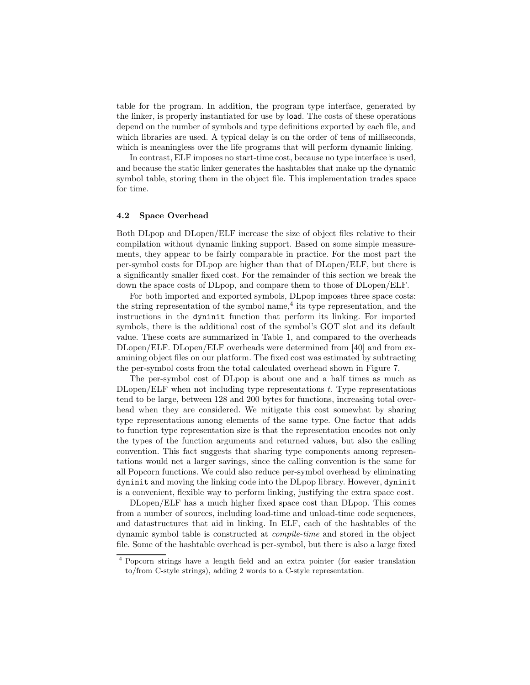table for the program. In addition, the program type interface, generated by the linker, is properly instantiated for use by load. The costs of these operations depend on the number of symbols and type definitions exported by each file, and which libraries are used. A typical delay is on the order of tens of milliseconds, which is meaningless over the life programs that will perform dynamic linking.

In contrast, ELF imposes no start-time cost, because no type interface is used, and because the static linker generates the hashtables that make up the dynamic symbol table, storing them in the object file. This implementation trades space for time.

### 4.2 Space Overhead

Both DLpop and DLopen/ELF increase the size of object files relative to their compilation without dynamic linking support. Based on some simple measurements, they appear to be fairly comparable in practice. For the most part the per-symbol costs for DLpop are higher than that of DLopen/ELF, but there is a significantly smaller fixed cost. For the remainder of this section we break the down the space costs of DLpop, and compare them to those of DLopen/ELF.

For both imported and exported symbols, DLpop imposes three space costs: the string representation of the symbol name, $\frac{4}{1}$  its type representation, and the instructions in the dyninit function that perform its linking. For imported symbols, there is the additional cost of the symbol's GOT slot and its default value. These costs are summarized in Table 1, and compared to the overheads DLopen/ELF. DLopen/ELF overheads were determined from [40] and from examining object files on our platform. The fixed cost was estimated by subtracting the per-symbol costs from the total calculated overhead shown in Figure 7.

The per-symbol cost of DLpop is about one and a half times as much as  $D\text{Lopen}/E\text{LF}$  when not including type representations  $t$ . Type representations tend to be large, between 128 and 200 bytes for functions, increasing total overhead when they are considered. We mitigate this cost somewhat by sharing type representations among elements of the same type. One factor that adds to function type representation size is that the representation encodes not only the types of the function arguments and returned values, but also the calling convention. This fact suggests that sharing type components among representations would net a larger savings, since the calling convention is the same for all Popcorn functions. We could also reduce per-symbol overhead by eliminating dyninit and moving the linking code into the DLpop library. However, dyninit is a convenient, flexible way to perform linking, justifying the extra space cost.

DLopen/ELF has a much higher fixed space cost than DLpop. This comes from a number of sources, including load-time and unload-time code sequences, and datastructures that aid in linking. In ELF, each of the hashtables of the dynamic symbol table is constructed at compile-time and stored in the object file. Some of the hashtable overhead is per-symbol, but there is also a large fixed

<sup>4</sup> Popcorn strings have a length field and an extra pointer (for easier translation to/from C-style strings), adding 2 words to a C-style representation.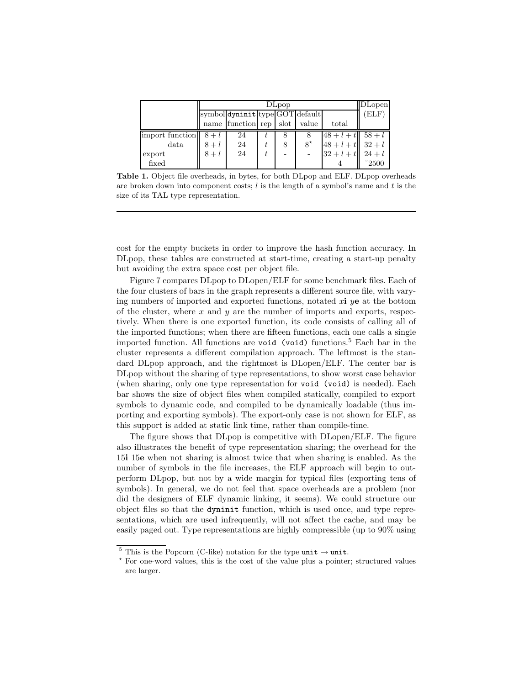|                 | $D\text{Lpop}$ |                                 |    |                |             |                   | DLopen         |
|-----------------|----------------|---------------------------------|----|----------------|-------------|-------------------|----------------|
|                 |                | symbol dyninit type GOT default |    |                |             |                   | (ELF)          |
|                 |                | name function rep slot          |    |                | value       | total             |                |
| import function | $8+l$          | 24                              | ŧ. | 8              |             | $ 48+l+t $ 58 + l |                |
| data            | $8+l$          | 24                              | t  | 8              | $8^{\star}$ | $48 + l + t$      | $32 + l$       |
| export          | $8+l$          | 24                              | t. | $\overline{a}$ |             | $32 + l + t$      | $24+l$         |
| fixed           |                |                                 |    |                |             |                   | $\degree$ 2500 |

Table 1. Object file overheads, in bytes, for both DLpop and ELF. DLpop overheads are broken down into component costs;  $l$  is the length of a symbol's name and  $t$  is the size of its TAL type representation.

cost for the empty buckets in order to improve the hash function accuracy. In DLpop, these tables are constructed at start-time, creating a start-up penalty but avoiding the extra space cost per object file.

Figure 7 compares DLpop to DLopen/ELF for some benchmark files. Each of the four clusters of bars in the graph represents a different source file, with varying numbers of imported and exported functions, notated  $xi$  iveral the bottom of the cluster, where  $x$  and  $y$  are the number of imports and exports, respectively. When there is one exported function, its code consists of calling all of the imported functions; when there are fifteen functions, each one calls a single imported function. All functions are void (void) functions.<sup>5</sup> Each bar in the cluster represents a different compilation approach. The leftmost is the standard DLpop approach, and the rightmost is DLopen/ELF. The center bar is DLpop without the sharing of type representations, to show worst case behavior (when sharing, only one type representation for void (void) is needed). Each bar shows the size of object files when compiled statically, compiled to export symbols to dynamic code, and compiled to be dynamically loadable (thus importing and exporting symbols). The export-only case is not shown for ELF, as this support is added at static link time, rather than compile-time.

The figure shows that DLpop is competitive with DLopen/ELF. The figure also illustrates the benefit of type representation sharing; the overhead for the 15i 15e when not sharing is almost twice that when sharing is enabled. As the number of symbols in the file increases, the ELF approach will begin to outperform DLpop, but not by a wide margin for typical files (exporting tens of symbols). In general, we do not feel that space overheads are a problem (nor did the designers of ELF dynamic linking, it seems). We could structure our object files so that the dyninit function, which is used once, and type representations, which are used infrequently, will not affect the cache, and may be easily paged out. Type representations are highly compressible (up to 90% using

<sup>&</sup>lt;sup>5</sup> This is the Popcorn (C-like) notation for the type unit  $\rightarrow$  unit.

<sup>⋆</sup> For one-word values, this is the cost of the value plus a pointer; structured values are larger.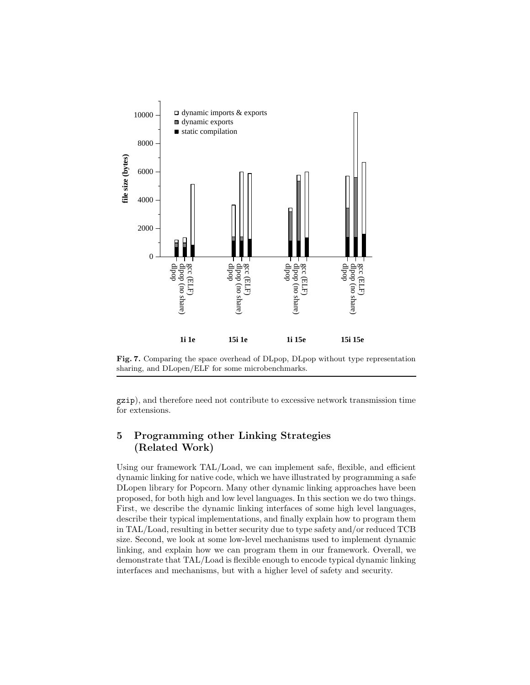

Fig. 7. Comparing the space overhead of DLpop, DLpop without type representation sharing, and DLopen/ELF for some microbenchmarks.

gzip), and therefore need not contribute to excessive network transmission time for extensions.

# 5 Programming other Linking Strategies (Related Work)

Using our framework TAL/Load, we can implement safe, flexible, and efficient dynamic linking for native code, which we have illustrated by programming a safe DLopen library for Popcorn. Many other dynamic linking approaches have been proposed, for both high and low level languages. In this section we do two things. First, we describe the dynamic linking interfaces of some high level languages, describe their typical implementations, and finally explain how to program them in TAL/Load, resulting in better security due to type safety and/or reduced TCB size. Second, we look at some low-level mechanisms used to implement dynamic linking, and explain how we can program them in our framework. Overall, we demonstrate that TAL/Load is flexible enough to encode typical dynamic linking interfaces and mechanisms, but with a higher level of safety and security.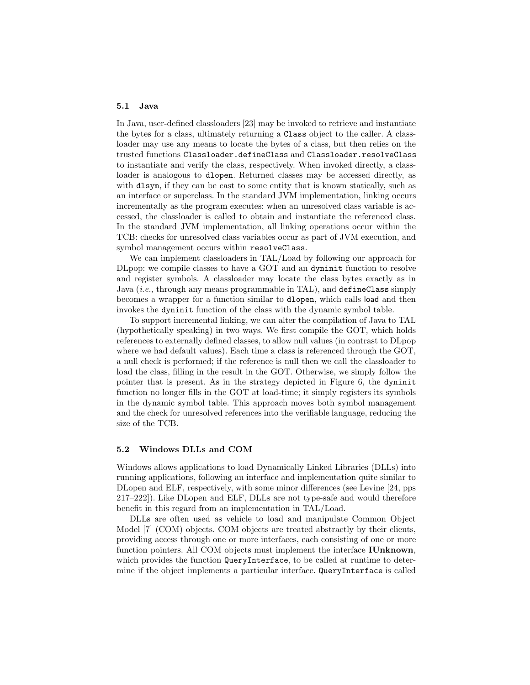#### 5.1 Java

In Java, user-defined classloaders [23] may be invoked to retrieve and instantiate the bytes for a class, ultimately returning a Class object to the caller. A classloader may use any means to locate the bytes of a class, but then relies on the trusted functions Classloader.defineClass and Classloader.resolveClass to instantiate and verify the class, respectively. When invoked directly, a classloader is analogous to dlopen. Returned classes may be accessed directly, as with dlsym, if they can be cast to some entity that is known statically, such as an interface or superclass. In the standard JVM implementation, linking occurs incrementally as the program executes: when an unresolved class variable is accessed, the classloader is called to obtain and instantiate the referenced class. In the standard JVM implementation, all linking operations occur within the TCB: checks for unresolved class variables occur as part of JVM execution, and symbol management occurs within resolveClass.

We can implement classloaders in TAL/Load by following our approach for DLpop: we compile classes to have a GOT and an dyninit function to resolve and register symbols. A classloader may locate the class bytes exactly as in Java  $(i.e.,$  through any means programmable in TAL), and defineClass simply becomes a wrapper for a function similar to dlopen, which calls load and then invokes the dyninit function of the class with the dynamic symbol table.

To support incremental linking, we can alter the compilation of Java to TAL (hypothetically speaking) in two ways. We first compile the GOT, which holds references to externally defined classes, to allow null values (in contrast to DLpop where we had default values). Each time a class is referenced through the GOT, a null check is performed; if the reference is null then we call the classloader to load the class, filling in the result in the GOT. Otherwise, we simply follow the pointer that is present. As in the strategy depicted in Figure 6, the dyninit function no longer fills in the GOT at load-time; it simply registers its symbols in the dynamic symbol table. This approach moves both symbol management and the check for unresolved references into the verifiable language, reducing the size of the TCB.

#### 5.2 Windows DLLs and COM

Windows allows applications to load Dynamically Linked Libraries (DLLs) into running applications, following an interface and implementation quite similar to DLopen and ELF, respectively, with some minor differences (see Levine [24, pps 217–222]). Like DLopen and ELF, DLLs are not type-safe and would therefore benefit in this regard from an implementation in TAL/Load.

DLLs are often used as vehicle to load and manipulate Common Object Model [7] (COM) objects. COM objects are treated abstractly by their clients, providing access through one or more interfaces, each consisting of one or more function pointers. All COM objects must implement the interface IUnknown, which provides the function QueryInterface, to be called at runtime to determine if the object implements a particular interface. QueryInterface is called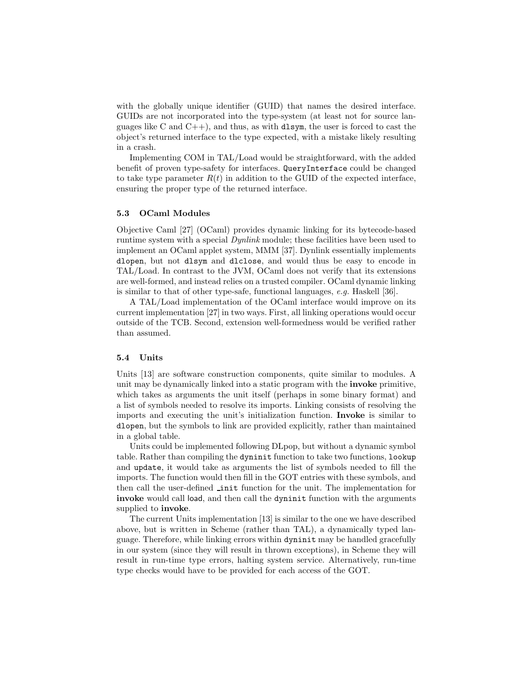with the globally unique identifier (GUID) that names the desired interface. GUIDs are not incorporated into the type-system (at least not for source languages like C and  $C_{++}$ , and thus, as with dlsym, the user is forced to cast the object's returned interface to the type expected, with a mistake likely resulting in a crash.

Implementing COM in TAL/Load would be straightforward, with the added benefit of proven type-safety for interfaces. QueryInterface could be changed to take type parameter  $R(t)$  in addition to the GUID of the expected interface, ensuring the proper type of the returned interface.

# 5.3 OCaml Modules

Objective Caml [27] (OCaml) provides dynamic linking for its bytecode-based runtime system with a special  $Dynlink$  module; these facilities have been used to implement an OCaml applet system, MMM [37]. Dynlink essentially implements dlopen, but not dlsym and dlclose, and would thus be easy to encode in TAL/Load. In contrast to the JVM, OCaml does not verify that its extensions are well-formed, and instead relies on a trusted compiler. OCaml dynamic linking is similar to that of other type-safe, functional languages, e.g. Haskell [36].

A TAL/Load implementation of the OCaml interface would improve on its current implementation [27] in two ways. First, all linking operations would occur outside of the TCB. Second, extension well-formedness would be verified rather than assumed.

#### 5.4 Units

Units [13] are software construction components, quite similar to modules. A unit may be dynamically linked into a static program with the invoke primitive, which takes as arguments the unit itself (perhaps in some binary format) and a list of symbols needed to resolve its imports. Linking consists of resolving the imports and executing the unit's initialization function. Invoke is similar to dlopen, but the symbols to link are provided explicitly, rather than maintained in a global table.

Units could be implemented following DLpop, but without a dynamic symbol table. Rather than compiling the dyninit function to take two functions, lookup and update, it would take as arguments the list of symbols needed to fill the imports. The function would then fill in the GOT entries with these symbols, and then call the user-defined init function for the unit. The implementation for invoke would call load, and then call the dyninit function with the arguments supplied to **invoke**.

The current Units implementation [13] is similar to the one we have described above, but is written in Scheme (rather than TAL), a dynamically typed language. Therefore, while linking errors within dyninit may be handled gracefully in our system (since they will result in thrown exceptions), in Scheme they will result in run-time type errors, halting system service. Alternatively, run-time type checks would have to be provided for each access of the GOT.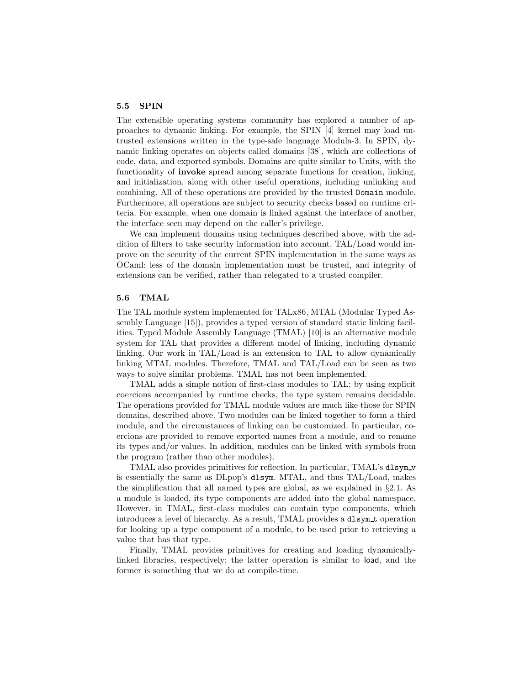#### 5.5 SPIN

The extensible operating systems community has explored a number of approaches to dynamic linking. For example, the SPIN [4] kernel may load untrusted extensions written in the type-safe language Modula-3. In SPIN, dynamic linking operates on objects called domains [38], which are collections of code, data, and exported symbols. Domains are quite similar to Units, with the functionality of invoke spread among separate functions for creation, linking, and initialization, along with other useful operations, including unlinking and combining. All of these operations are provided by the trusted Domain module. Furthermore, all operations are subject to security checks based on runtime criteria. For example, when one domain is linked against the interface of another, the interface seen may depend on the caller's privilege.

We can implement domains using techniques described above, with the addition of filters to take security information into account. TAL/Load would improve on the security of the current SPIN implementation in the same ways as OCaml: less of the domain implementation must be trusted, and integrity of extensions can be verified, rather than relegated to a trusted compiler.

### 5.6 TMAL

The TAL module system implemented for TALx86, MTAL (Modular Typed Assembly Language [15]), provides a typed version of standard static linking facilities. Typed Module Assembly Language (TMAL) [10] is an alternative module system for TAL that provides a different model of linking, including dynamic linking. Our work in TAL/Load is an extension to TAL to allow dynamically linking MTAL modules. Therefore, TMAL and TAL/Load can be seen as two ways to solve similar problems. TMAL has not been implemented.

TMAL adds a simple notion of first-class modules to TAL; by using explicit coercions accompanied by runtime checks, the type system remains decidable. The operations provided for TMAL module values are much like those for SPIN domains, described above. Two modules can be linked together to form a third module, and the circumstances of linking can be customized. In particular, coercions are provided to remove exported names from a module, and to rename its types and/or values. In addition, modules can be linked with symbols from the program (rather than other modules).

TMAL also provides primitives for reflection. In particular, TMAL's dlsym\_v is essentially the same as DLpop's dlsym. MTAL, and thus TAL/Load, makes the simplification that all named types are global, as we explained in §2.1. As a module is loaded, its type components are added into the global namespace. However, in TMAL, first-class modules can contain type components, which introduces a level of hierarchy. As a result, TMAL provides a dlsym t operation for looking up a type component of a module, to be used prior to retrieving a value that has that type.

Finally, TMAL provides primitives for creating and loading dynamicallylinked libraries, respectively; the latter operation is similar to load, and the former is something that we do at compile-time.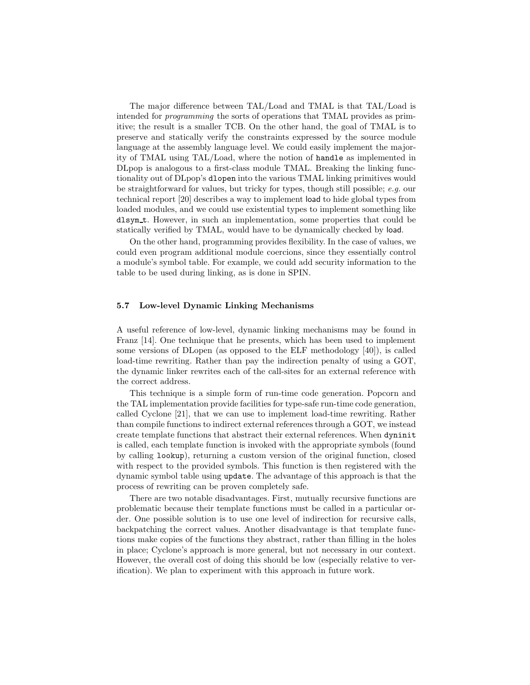The major difference between TAL/Load and TMAL is that TAL/Load is intended for programming the sorts of operations that TMAL provides as primitive; the result is a smaller TCB. On the other hand, the goal of TMAL is to preserve and statically verify the constraints expressed by the source module language at the assembly language level. We could easily implement the majority of TMAL using TAL/Load, where the notion of handle as implemented in DLpop is analogous to a first-class module TMAL. Breaking the linking functionality out of DLpop's dlopen into the various TMAL linking primitives would be straightforward for values, but tricky for types, though still possible; e.g. our technical report [20] describes a way to implement load to hide global types from loaded modules, and we could use existential types to implement something like dlsym t. However, in such an implementation, some properties that could be statically verified by TMAL, would have to be dynamically checked by load.

On the other hand, programming provides flexibility. In the case of values, we could even program additional module coercions, since they essentially control a module's symbol table. For example, we could add security information to the table to be used during linking, as is done in SPIN.

### 5.7 Low-level Dynamic Linking Mechanisms

A useful reference of low-level, dynamic linking mechanisms may be found in Franz [14]. One technique that he presents, which has been used to implement some versions of DLopen (as opposed to the ELF methodology [40]), is called load-time rewriting. Rather than pay the indirection penalty of using a GOT, the dynamic linker rewrites each of the call-sites for an external reference with the correct address.

This technique is a simple form of run-time code generation. Popcorn and the TAL implementation provide facilities for type-safe run-time code generation, called Cyclone [21], that we can use to implement load-time rewriting. Rather than compile functions to indirect external references through a GOT, we instead create template functions that abstract their external references. When dyninit is called, each template function is invoked with the appropriate symbols (found by calling lookup), returning a custom version of the original function, closed with respect to the provided symbols. This function is then registered with the dynamic symbol table using update. The advantage of this approach is that the process of rewriting can be proven completely safe.

There are two notable disadvantages. First, mutually recursive functions are problematic because their template functions must be called in a particular order. One possible solution is to use one level of indirection for recursive calls, backpatching the correct values. Another disadvantage is that template functions make copies of the functions they abstract, rather than filling in the holes in place; Cyclone's approach is more general, but not necessary in our context. However, the overall cost of doing this should be low (especially relative to verification). We plan to experiment with this approach in future work.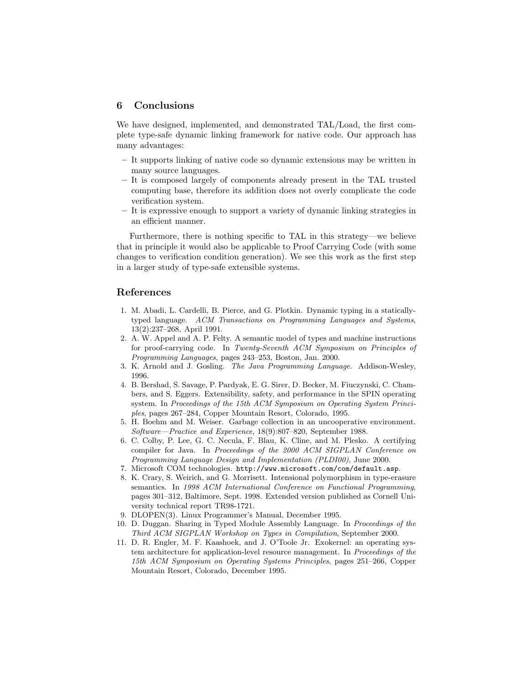# 6 Conclusions

We have designed, implemented, and demonstrated TAL/Load, the first complete type-safe dynamic linking framework for native code. Our approach has many advantages:

- It supports linking of native code so dynamic extensions may be written in many source languages.
- It is composed largely of components already present in the TAL trusted computing base, therefore its addition does not overly complicate the code verification system.
- It is expressive enough to support a variety of dynamic linking strategies in an efficient manner.

Furthermore, there is nothing specific to TAL in this strategy—we believe that in principle it would also be applicable to Proof Carrying Code (with some changes to verification condition generation). We see this work as the first step in a larger study of type-safe extensible systems.

# References

- 1. M. Abadi, L. Cardelli, B. Pierce, and G. Plotkin. Dynamic typing in a staticallytyped language. *ACM Transactions on Programming Languages and Systems*, 13(2):237–268, April 1991.
- 2. A. W. Appel and A. P. Felty. A semantic model of types and machine instructions for proof-carrying code. In *Twenty-Seventh ACM Symposium on Principles of Programming Languages*, pages 243–253, Boston, Jan. 2000.
- 3. K. Arnold and J. Gosling. *The Java Programming Language*. Addison-Wesley, 1996.
- 4. B. Bershad, S. Savage, P. Pardyak, E. G. Sirer, D. Becker, M. Fiuczynski, C. Chambers, and S. Eggers. Extensibility, safety, and performance in the SPIN operating system. In *Proceedings of the 15th ACM Symposium on Operating System Principles*, pages 267–284, Copper Mountain Resort, Colorado, 1995.
- 5. H. Boehm and M. Weiser. Garbage collection in an uncooperative environment. *Software—Practice and Experience*, 18(9):807–820, September 1988.
- 6. C. Colby, P. Lee, G. C. Necula, F. Blau, K. Cline, and M. Plesko. A certifying compiler for Java. In *Proceedings of the 2000 ACM SIGPLAN Conference on Programming Language Design and Implementation (PLDI00)*, June 2000.
- 7. Microsoft COM technologies. http://www.microsoft.com/com/default.asp.
- 8. K. Crary, S. Weirich, and G. Morrisett. Intensional polymorphism in type-erasure semantics. In *1998 ACM International Conference on Functional Programming*, pages 301–312, Baltimore, Sept. 1998. Extended version published as Cornell University technical report TR98-1721.
- 9. DLOPEN(3). Linux Programmer's Manual, December 1995.
- 10. D. Duggan. Sharing in Typed Module Assembly Language. In *Proceedings of the Third ACM SIGPLAN Workshop on Types in Compilation*, September 2000.
- 11. D. R. Engler, M. F. Kaashoek, and J. O'Toole Jr. Exokernel: an operating system architecture for application-level resource management. In *Proceedings of the 15th ACM Symposium on Operating Systems Principles*, pages 251–266, Copper Mountain Resort, Colorado, December 1995.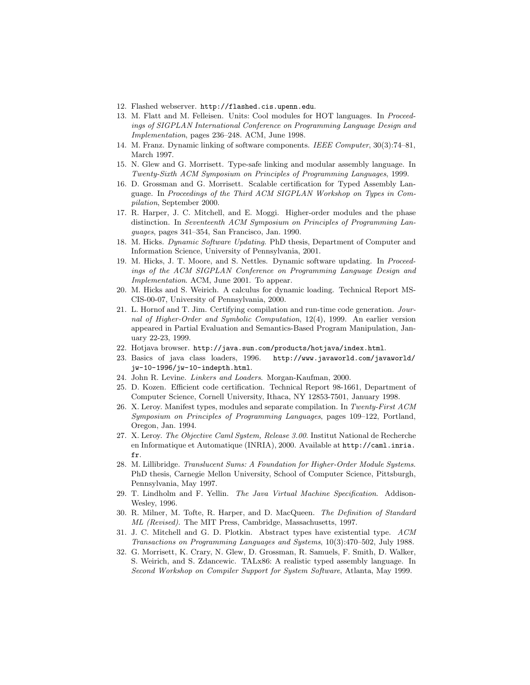- 12. Flashed webserver. http://flashed.cis.upenn.edu.
- 13. M. Flatt and M. Felleisen. Units: Cool modules for HOT languages. In *Proceedings of SIGPLAN International Conference on Programming Language Design and Implementation*, pages 236–248. ACM, June 1998.
- 14. M. Franz. Dynamic linking of software components. *IEEE Computer*, 30(3):74–81, March 1997.
- 15. N. Glew and G. Morrisett. Type-safe linking and modular assembly language. In *Twenty-Sixth ACM Symposium on Principles of Programming Languages*, 1999.
- 16. D. Grossman and G. Morrisett. Scalable certification for Typed Assembly Language. In *Proceedings of the Third ACM SIGPLAN Workshop on Types in Compilation*, September 2000.
- 17. R. Harper, J. C. Mitchell, and E. Moggi. Higher-order modules and the phase distinction. In *Seventeenth ACM Symposium on Principles of Programming Languages*, pages 341–354, San Francisco, Jan. 1990.
- 18. M. Hicks. *Dynamic Software Updating*. PhD thesis, Department of Computer and Information Science, University of Pennsylvania, 2001.
- 19. M. Hicks, J. T. Moore, and S. Nettles. Dynamic software updating. In *Proceedings of the ACM SIGPLAN Conference on Programming Language Design and Implementation*. ACM, June 2001. To appear.
- 20. M. Hicks and S. Weirich. A calculus for dynamic loading. Technical Report MS-CIS-00-07, University of Pennsylvania, 2000.
- 21. L. Hornof and T. Jim. Certifying compilation and run-time code generation. *Journal of Higher-Order and Symbolic Computation*, 12(4), 1999. An earlier version appeared in Partial Evaluation and Semantics-Based Program Manipulation, January 22-23, 1999.
- 22. Hotjava browser. http://java.sun.com/products/hotjava/index.html.
- 23. Basics of java class loaders, 1996. http://www.javaworld.com/javaworld/ jw-10-1996/jw-10-indepth.html.
- 24. John R. Levine. *Linkers and Loaders*. Morgan-Kaufman, 2000.
- 25. D. Kozen. Efficient code certification. Technical Report 98-1661, Department of Computer Science, Cornell University, Ithaca, NY 12853-7501, January 1998.
- 26. X. Leroy. Manifest types, modules and separate compilation. In *Twenty-First ACM Symposium on Principles of Programming Languages*, pages 109–122, Portland, Oregon, Jan. 1994.
- 27. X. Leroy. *The Objective Caml System, Release 3.00*. Institut National de Recherche en Informatique et Automatique (INRIA), 2000. Available at http://caml.inria. fr.
- 28. M. Lillibridge. *Translucent Sums: A Foundation for Higher-Order Module Systems*. PhD thesis, Carnegie Mellon University, School of Computer Science, Pittsburgh, Pennsylvania, May 1997.
- 29. T. Lindholm and F. Yellin. *The Java Virtual Machine Specification*. Addison-Wesley, 1996.
- 30. R. Milner, M. Tofte, R. Harper, and D. MacQueen. *The Definition of Standard ML (Revised)*. The MIT Press, Cambridge, Massachusetts, 1997.
- 31. J. C. Mitchell and G. D. Plotkin. Abstract types have existential type. *ACM Transactions on Programming Languages and Systems*, 10(3):470–502, July 1988.
- 32. G. Morrisett, K. Crary, N. Glew, D. Grossman, R. Samuels, F. Smith, D. Walker, S. Weirich, and S. Zdancewic. TALx86: A realistic typed assembly language. In *Second Workshop on Compiler Support for System Software*, Atlanta, May 1999.